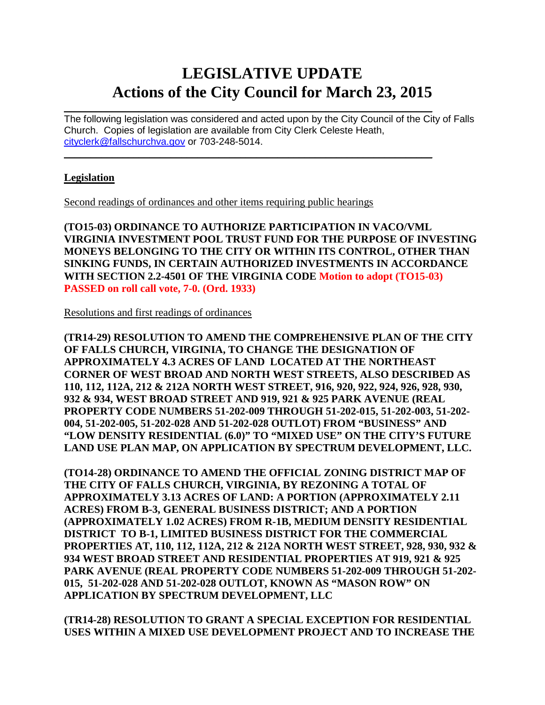# **LEGISLATIVE UPDATE Actions of the City Council for March 23, 2015**

 $\mathcal{L}_\text{max}$  and  $\mathcal{L}_\text{max}$  and  $\mathcal{L}_\text{max}$  and  $\mathcal{L}_\text{max}$  and  $\mathcal{L}_\text{max}$  and  $\mathcal{L}_\text{max}$ The following legislation was considered and acted upon by the City Council of the City of Falls Church. Copies of legislation are available from City Clerk Celeste Heath, [cityclerk@fallschurchva.gov](mailto:cityclerk@fallschurchva.gov) or 703-248-5014.

 $\mathcal{L}_\text{max}$  , and the contract of the contract of the contract of the contract of the contract of the contract of

### **Legislation**

Second readings of ordinances and other items requiring public hearings

**(TO15-03) ORDINANCE TO AUTHORIZE PARTICIPATION IN VACO/VML VIRGINIA INVESTMENT POOL TRUST FUND FOR THE PURPOSE OF INVESTING MONEYS BELONGING TO THE CITY OR WITHIN ITS CONTROL, OTHER THAN SINKING FUNDS, IN CERTAIN AUTHORIZED INVESTMENTS IN ACCORDANCE WITH SECTION 2.2-4501 OF THE VIRGINIA CODE Motion to adopt (TO15-03) PASSED on roll call vote, 7-0. (Ord. 1933)**

Resolutions and first readings of ordinances

**(TR14-29) RESOLUTION TO AMEND THE COMPREHENSIVE PLAN OF THE CITY OF FALLS CHURCH, VIRGINIA, TO CHANGE THE DESIGNATION OF APPROXIMATELY 4.3 ACRES OF LAND LOCATED AT THE NORTHEAST CORNER OF WEST BROAD AND NORTH WEST STREETS, ALSO DESCRIBED AS 110, 112, 112A, 212 & 212A NORTH WEST STREET, 916, 920, 922, 924, 926, 928, 930, 932 & 934, WEST BROAD STREET AND 919, 921 & 925 PARK AVENUE (REAL PROPERTY CODE NUMBERS 51-202-009 THROUGH 51-202-015, 51-202-003, 51-202- 004, 51-202-005, 51-202-028 AND 51-202-028 OUTLOT) FROM "BUSINESS" AND "LOW DENSITY RESIDENTIAL (6.0)" TO "MIXED USE" ON THE CITY'S FUTURE LAND USE PLAN MAP, ON APPLICATION BY SPECTRUM DEVELOPMENT, LLC.** 

**(TO14-28) ORDINANCE TO AMEND THE OFFICIAL ZONING DISTRICT MAP OF THE CITY OF FALLS CHURCH, VIRGINIA, BY REZONING A TOTAL OF APPROXIMATELY 3.13 ACRES OF LAND: A PORTION (APPROXIMATELY 2.11 ACRES) FROM B-3, GENERAL BUSINESS DISTRICT; AND A PORTION (APPROXIMATELY 1.02 ACRES) FROM R-1B, MEDIUM DENSITY RESIDENTIAL DISTRICT TO B-1, LIMITED BUSINESS DISTRICT FOR THE COMMERCIAL PROPERTIES AT, 110, 112, 112A, 212 & 212A NORTH WEST STREET, 928, 930, 932 & 934 WEST BROAD STREET AND RESIDENTIAL PROPERTIES AT 919, 921 & 925 PARK AVENUE (REAL PROPERTY CODE NUMBERS 51-202-009 THROUGH 51-202- 015, 51-202-028 AND 51-202-028 OUTLOT, KNOWN AS "MASON ROW" ON APPLICATION BY SPECTRUM DEVELOPMENT, LLC**

**(TR14-28) RESOLUTION TO GRANT A SPECIAL EXCEPTION FOR RESIDENTIAL USES WITHIN A MIXED USE DEVELOPMENT PROJECT AND TO INCREASE THE**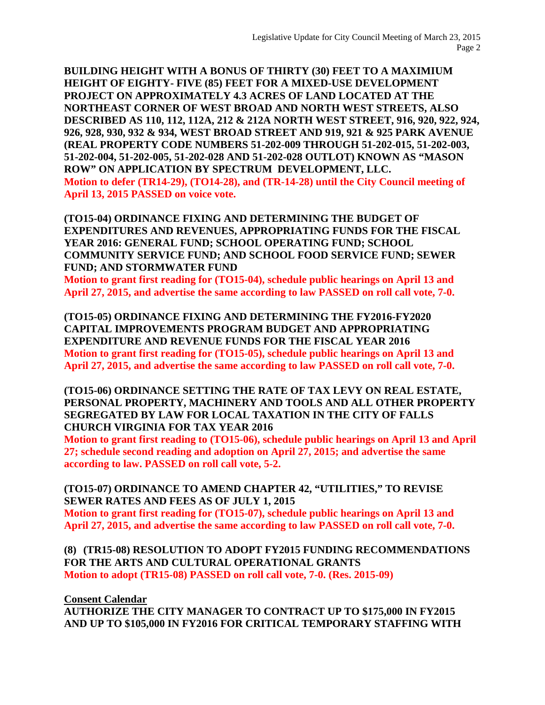**BUILDING HEIGHT WITH A BONUS OF THIRTY (30) FEET TO A MAXIMIUM HEIGHT OF EIGHTY- FIVE (85) FEET FOR A MIXED-USE DEVELOPMENT PROJECT ON APPROXIMATELY 4.3 ACRES OF LAND LOCATED AT THE NORTHEAST CORNER OF WEST BROAD AND NORTH WEST STREETS, ALSO DESCRIBED AS 110, 112, 112A, 212 & 212A NORTH WEST STREET, 916, 920, 922, 924, 926, 928, 930, 932 & 934, WEST BROAD STREET AND 919, 921 & 925 PARK AVENUE (REAL PROPERTY CODE NUMBERS 51-202-009 THROUGH 51-202-015, 51-202-003, 51-202-004, 51-202-005, 51-202-028 AND 51-202-028 OUTLOT) KNOWN AS "MASON ROW" ON APPLICATION BY SPECTRUM DEVELOPMENT, LLC. Motion to defer (TR14-29), (TO14-28), and (TR-14-28) until the City Council meeting of April 13, 2015 PASSED on voice vote.**

**(TO15-04) ORDINANCE FIXING AND DETERMINING THE BUDGET OF EXPENDITURES AND REVENUES, APPROPRIATING FUNDS FOR THE FISCAL YEAR 2016: GENERAL FUND; SCHOOL OPERATING FUND; SCHOOL COMMUNITY SERVICE FUND; AND SCHOOL FOOD SERVICE FUND; SEWER FUND; AND STORMWATER FUND**

**Motion to grant first reading for (TO15-04), schedule public hearings on April 13 and April 27, 2015, and advertise the same according to law PASSED on roll call vote, 7-0.**

**(TO15-05) ORDINANCE FIXING AND DETERMINING THE FY2016-FY2020 CAPITAL IMPROVEMENTS PROGRAM BUDGET AND APPROPRIATING EXPENDITURE AND REVENUE FUNDS FOR THE FISCAL YEAR 2016 Motion to grant first reading for (TO15-05), schedule public hearings on April 13 and April 27, 2015, and advertise the same according to law PASSED on roll call vote, 7-0.**

**(TO15-06) ORDINANCE SETTING THE RATE OF TAX LEVY ON REAL ESTATE, PERSONAL PROPERTY, MACHINERY AND TOOLS AND ALL OTHER PROPERTY SEGREGATED BY LAW FOR LOCAL TAXATION IN THE CITY OF FALLS CHURCH VIRGINIA FOR TAX YEAR 2016**

**Motion to grant first reading to (TO15-06), schedule public hearings on April 13 and April 27; schedule second reading and adoption on April 27, 2015; and advertise the same according to law. PASSED on roll call vote, 5-2.**

#### **(TO15-07) ORDINANCE TO AMEND CHAPTER 42, "UTILITIES," TO REVISE SEWER RATES AND FEES AS OF JULY 1, 2015**

**Motion to grant first reading for (TO15-07), schedule public hearings on April 13 and April 27, 2015, and advertise the same according to law PASSED on roll call vote, 7-0.**

**(8) (TR15-08) RESOLUTION TO ADOPT FY2015 FUNDING RECOMMENDATIONS FOR THE ARTS AND CULTURAL OPERATIONAL GRANTS Motion to adopt (TR15-08) PASSED on roll call vote, 7-0. (Res. 2015-09)**

**Consent Calendar**

**AUTHORIZE THE CITY MANAGER TO CONTRACT UP TO \$175,000 IN FY2015 AND UP TO \$105,000 IN FY2016 FOR CRITICAL TEMPORARY STAFFING WITH**